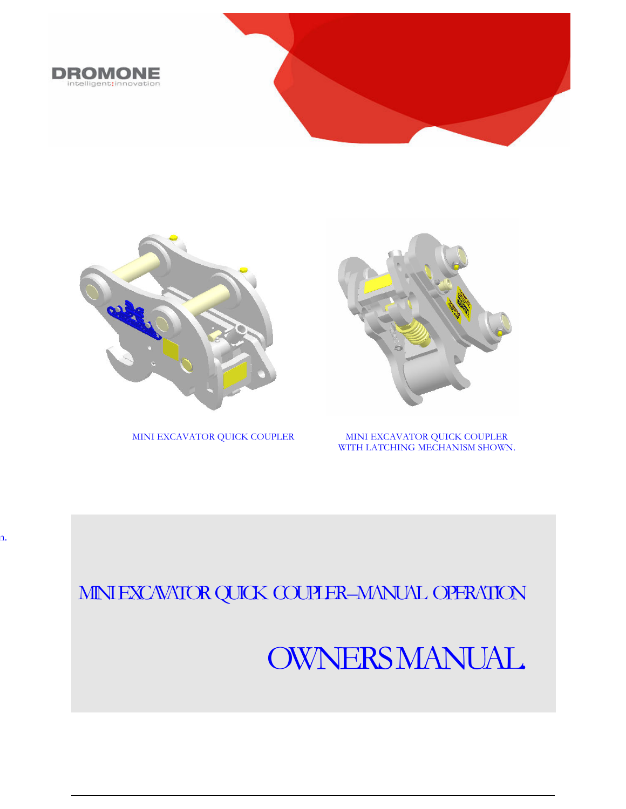



n.

MINI EXCAVATOR QUICK COUPLER



MINI EXCAVATOR QUICK COUPLER WITH LATCHING MECHANISM SHOWN.

## MINI EXCAVATOR QUICK COUPLER-MANUAL OPERATION

# OWNERS MANUAL.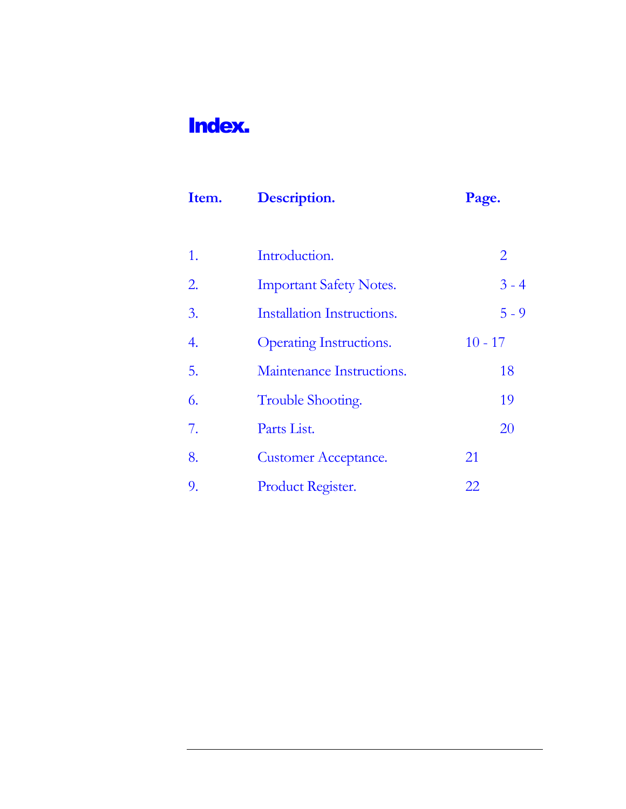## Index.

| Item. | Description.                   | Page.     |
|-------|--------------------------------|-----------|
|       |                                |           |
| 1.    | Introduction.                  | 2         |
| 2.    | <b>Important Safety Notes.</b> | $3 - 4$   |
| 3.    | Installation Instructions.     | $5 - 9$   |
| 4.    | Operating Instructions.        | $10 - 17$ |
| 5.    | Maintenance Instructions.      | 18        |
| 6.    | Trouble Shooting.              | 19        |
| 7.    | Parts List.                    | 20        |
| 8.    | <b>Customer Acceptance.</b>    | 21        |
| 9.    | Product Register.              | 22        |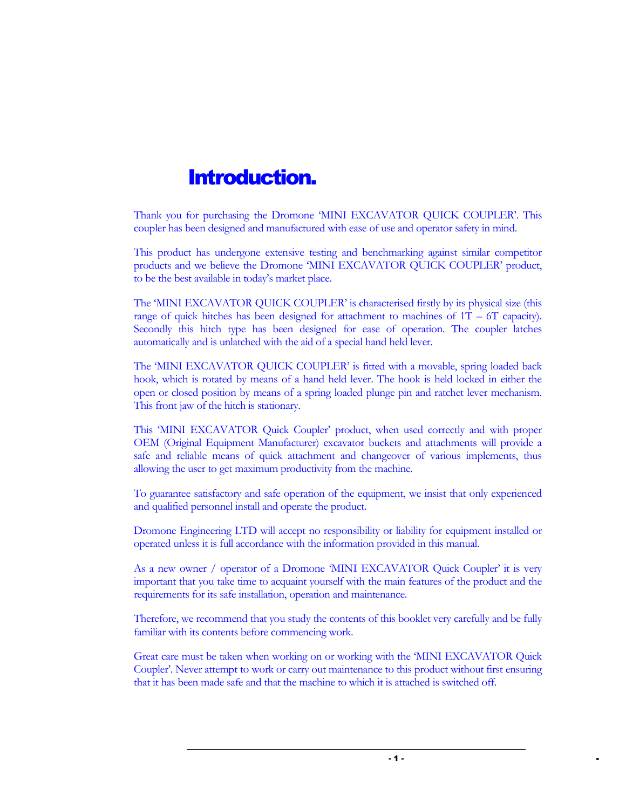### Introduction.

Thank you for purchasing the Dromone 'MINI EXCAVATOR QUICK COUPLER'. This coupler has been designed and manufactured with ease of use and operator safety in mind.

This product has undergone extensive testing and benchmarking against similar competitor products and we believe the Dromone 'MINI EXCAVATOR QUICK COUPLER' product, to be the best available in today's market place.

The 'MINI EXCAVATOR QUICK COUPLER' is characterised firstly by its physical size (this range of quick hitches has been designed for attachment to machines of  $1T - 6T$  capacity). Secondly this hitch type has been designed for ease of operation. The coupler latches automatically and is unlatched with the aid of a special hand held lever.

The 'MINI EXCAVATOR QUICK COUPLER' is fitted with a movable, spring loaded back hook, which is rotated by means of a hand held lever. The hook is held locked in either the open or closed position by means of a spring loaded plunge pin and ratchet lever mechanism. This front jaw of the hitch is stationary.

This 'MINI EXCAVATOR Quick Coupler' product, when used correctly and with proper OEM (Original Equipment Manufacturer) excavator buckets and attachments will provide a safe and reliable means of quick attachment and changeover of various implements, thus allowing the user to get maximum productivity from the machine.

To guarantee satisfactory and safe operation of the equipment, we insist that only experienced and qualified personnel install and operate the product.

Dromone Engineering LTD will accept no responsibility or liability for equipment installed or operated unless it is full accordance with the information provided in this manual.

As a new owner / operator of a Dromone 'MINI EXCAVATOR Quick Coupler' it is very important that you take time to acquaint yourself with the main features of the product and the requirements for its safe installation, operation and maintenance.

Therefore, we recommend that you study the contents of this booklet very carefully and be fully familiar with its contents before commencing work.

Great care must be taken when working on or working with the 'MINI EXCAVATOR Quick Coupler'. Never attempt to work or carry out maintenance to this product without first ensuring that it has been made safe and that the machine to which it is attached is switched off.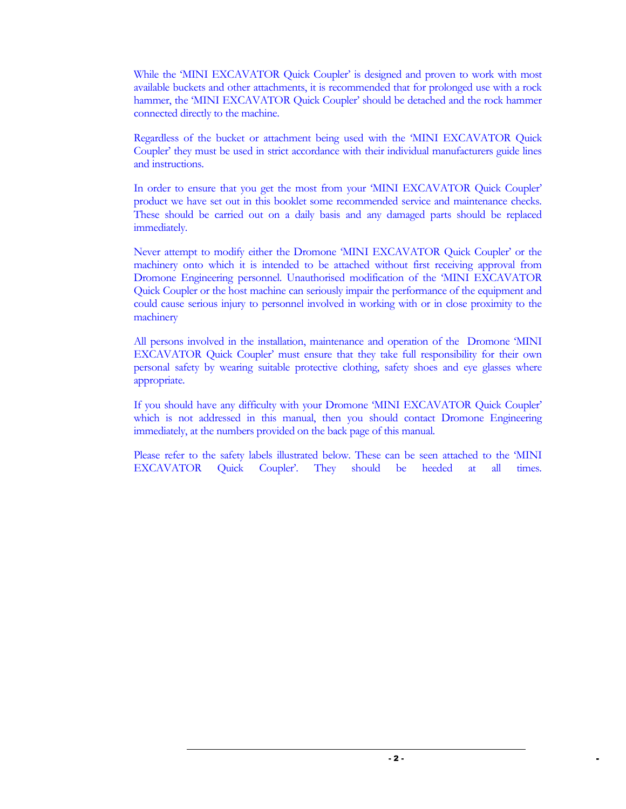While the 'MINI EXCAVATOR Quick Coupler' is designed and proven to work with most available buckets and other attachments, it is recommended that for prolonged use with a rock hammer, the 'MINI EXCAVATOR Quick Coupler' should be detached and the rock hammer connected directly to the machine.

Regardless of the bucket or attachment being used with the 'MINI EXCAVATOR Quick Coupler' they must be used in strict accordance with their individual manufacturers guide lines and instructions.

In order to ensure that you get the most from your 'MINI EXCAVATOR Quick Coupler' product we have set out in this booklet some recommended service and maintenance checks. These should be carried out on a daily basis and any damaged parts should be replaced immediately.

Never attempt to modify either the Dromone 'MINI EXCAVATOR Quick Coupler' or the machinery onto which it is intended to be attached without first receiving approval from Dromone Engineering personnel. Unauthorised modification of the 'MINI EXCAVATOR Quick Coupler or the host machine can seriously impair the performance of the equipment and could cause serious injury to personnel involved in working with or in close proximity to the machinery

All persons involved in the installation, maintenance and operation of the Dromone 'MINI EXCAVATOR Quick Coupler' must ensure that they take full responsibility for their own personal safety by wearing suitable protective clothing, safety shoes and eye glasses where appropriate.

If you should have any difficulty with your Dromone 'MINI EXCAVATOR Quick Coupler' which is not addressed in this manual, then you should contact Dromone Engineering immediately, at the numbers provided on the back page of this manual.

Please refer to the safety labels illustrated below. These can be seen attached to the 'MINI EXCAVATOR Quick Coupler'. They should be heeded at all times.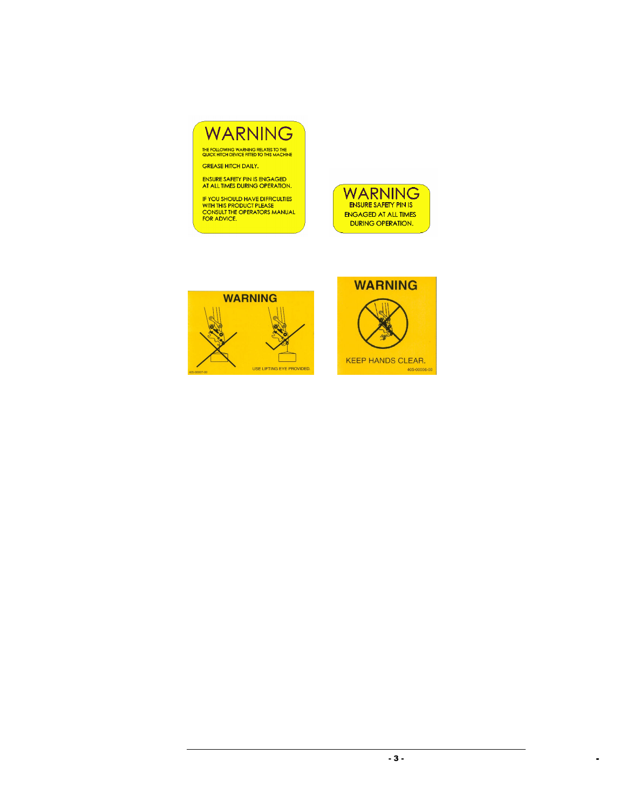## WARNING

THE FOLLOWING WARNING RELATES TO THE<br>QUICK HITCH DEVICE FITTED TO THIS MACHINE GREASE HITCH DAILY.

ENSURE SAFETY PIN IS ENGAGED<br>AT ALL TIMES DURING OPERATION.

IF YOU SHOULD HAVE DIFFICULTIES<br>WITH THIS PRODUCT PLEASE<br>CONSULT THE OPERATORS MANUAL<br>FOR ADVICE.





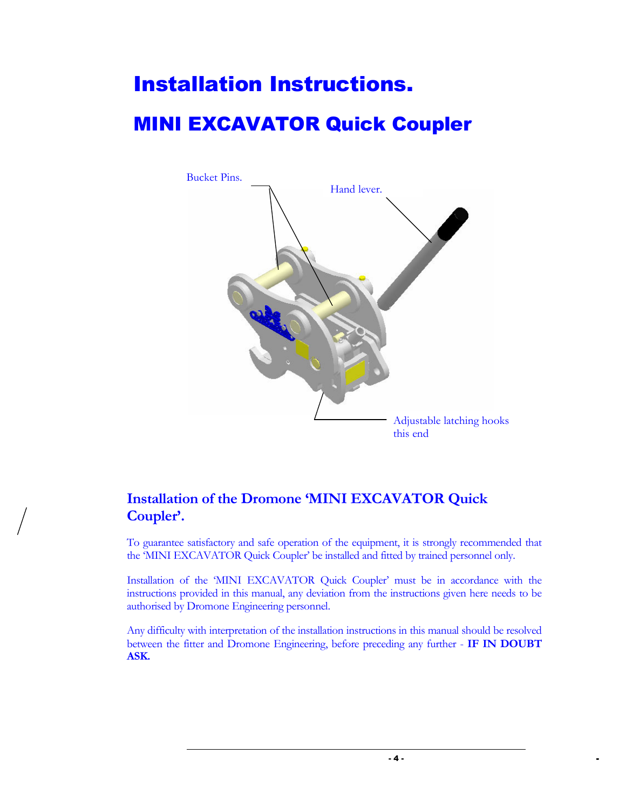# Installation Instructions. MINI EXCAVATOR Quick Coupler



#### Installation of the Dromone 'MINI EXCAVATOR Quick Coupler'.

To guarantee satisfactory and safe operation of the equipment, it is strongly recommended that the 'MINI EXCAVATOR Quick Coupler' be installed and fitted by trained personnel only.

Installation of the 'MINI EXCAVATOR Quick Coupler' must be in accordance with the instructions provided in this manual, any deviation from the instructions given here needs to be authorised by Dromone Engineering personnel.

Any difficulty with interpretation of the installation instructions in this manual should be resolved between the fitter and Dromone Engineering, before preceding any further - IF IN DOUBT ASK.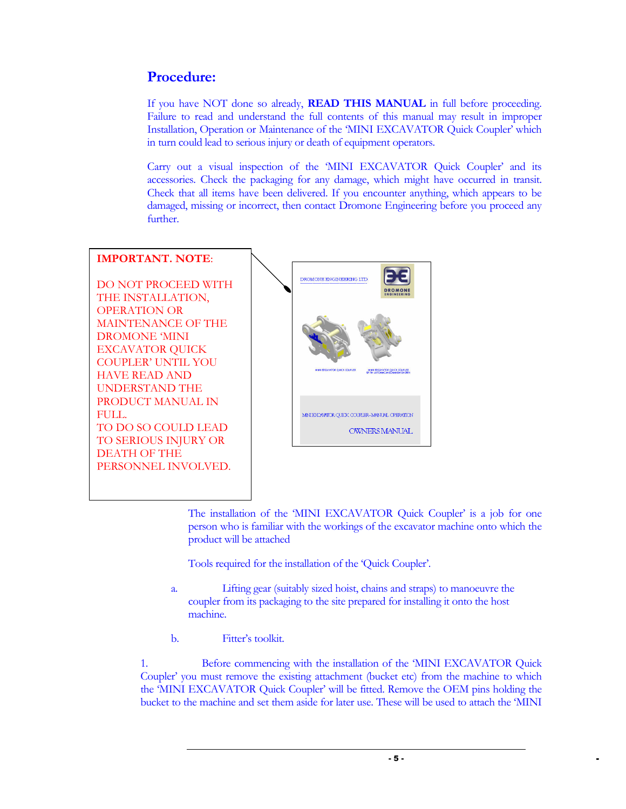#### Procedure:

If you have NOT done so already, **READ THIS MANUAL** in full before proceeding. Failure to read and understand the full contents of this manual may result in improper Installation, Operation or Maintenance of the 'MINI EXCAVATOR Quick Coupler' which in turn could lead to serious injury or death of equipment operators.

Carry out a visual inspection of the 'MINI EXCAVATOR Quick Coupler' and its accessories. Check the packaging for any damage, which might have occurred in transit. Check that all items have been delivered. If you encounter anything, which appears to be damaged, missing or incorrect, then contact Dromone Engineering before you proceed any further.

#### IMPORTANT. NOTE: DROMONE ENGINEERING LTD DO NOT PROCEED WITH THE INSTALLATION, OPERATION OR MAINTENANCE OF THE DROMONE 'MINI EXCAVATOR QUICK COUPLER' UNTIL YOU HAVE READ AND UNDERSTAND THE PRODUCT MANUAL IN FULL. MINI EXCAVATOR QUICK COUPLER-MANUAL OPERATION TO DO SO COULD LEAD **OWNERS MANUAL** TO SERIOUS INJURY OR DEATH OF THE PERSONNEL INVOLVED.

The installation of the 'MINI EXCAVATOR Quick Coupler' is a job for one person who is familiar with the workings of the excavator machine onto which the product will be attached

Tools required for the installation of the 'Quick Coupler'.

- a. Lifting gear (suitably sized hoist, chains and straps) to manoeuvre the coupler from its packaging to the site prepared for installing it onto the host machine.
- b. Fitter's toolkit.

1. Before commencing with the installation of the 'MINI EXCAVATOR Quick Coupler' you must remove the existing attachment (bucket etc) from the machine to which the 'MINI EXCAVATOR Quick Coupler' will be fitted. Remove the OEM pins holding the bucket to the machine and set them aside for later use. These will be used to attach the 'MINI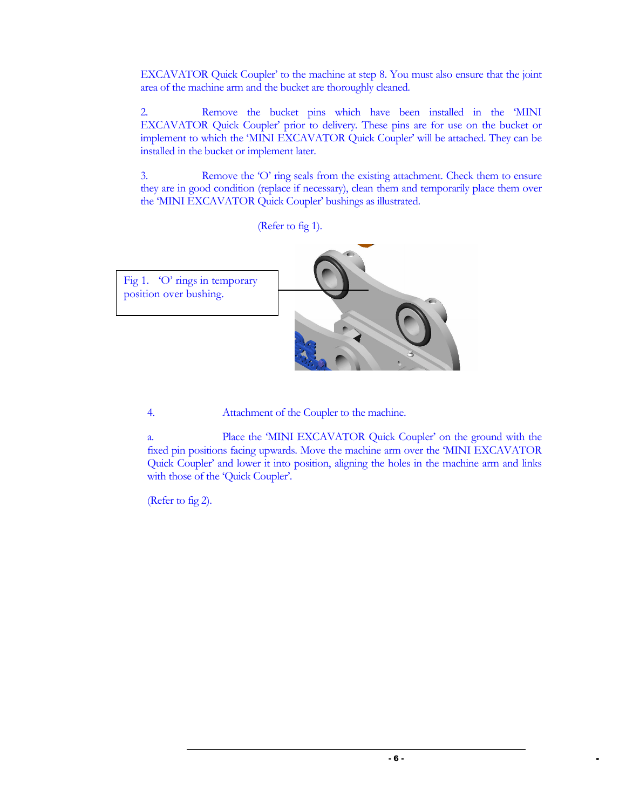EXCAVATOR Quick Coupler' to the machine at step 8. You must also ensure that the joint area of the machine arm and the bucket are thoroughly cleaned.

2. Remove the bucket pins which have been installed in the 'MINI EXCAVATOR Quick Coupler' prior to delivery. These pins are for use on the bucket or implement to which the 'MINI EXCAVATOR Quick Coupler' will be attached. They can be installed in the bucket or implement later.

3. Remove the 'O' ring seals from the existing attachment. Check them to ensure they are in good condition (replace if necessary), clean them and temporarily place them over the 'MINI EXCAVATOR Quick Coupler' bushings as illustrated.



4. Attachment of the Coupler to the machine.

a. Place the 'MINI EXCAVATOR Quick Coupler' on the ground with the fixed pin positions facing upwards. Move the machine arm over the 'MINI EXCAVATOR Quick Coupler' and lower it into position, aligning the holes in the machine arm and links with those of the 'Quick Coupler'.

(Refer to fig 2).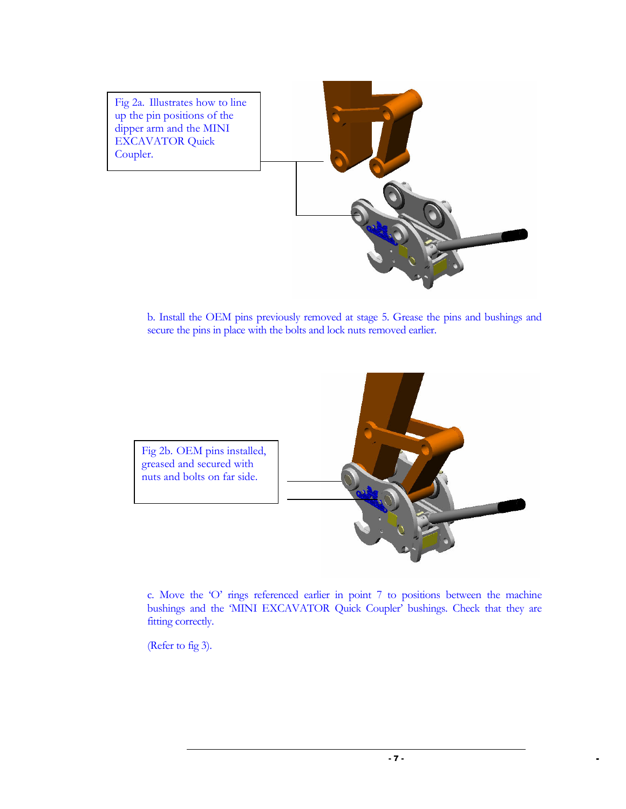

b. Install the OEM pins previously removed at stage 5. Grease the pins and bushings and secure the pins in place with the bolts and lock nuts removed earlier.



c. Move the 'O' rings referenced earlier in point 7 to positions between the machine bushings and the 'MINI EXCAVATOR Quick Coupler' bushings. Check that they are fitting correctly.

(Refer to fig 3).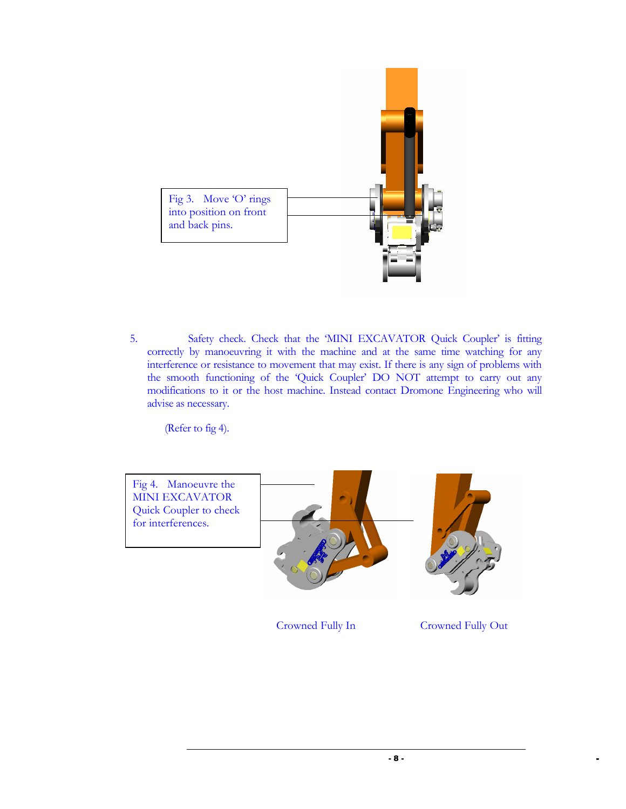

5. Safety check. Check that the 'MINI EXCAVATOR Quick Coupler' is fitting correctly by manoeuvring it with the machine and at the same time watching for any interference or resistance to movement that may exist. If there is any sign of problems with the smooth functioning of the 'Quick Coupler' DO NOT attempt to carry out any modifications to it or the host machine. Instead contact Dromone Engineering who will advise as necessary.

(Refer to fig 4).



Crowned Fully In Crowned Fully Out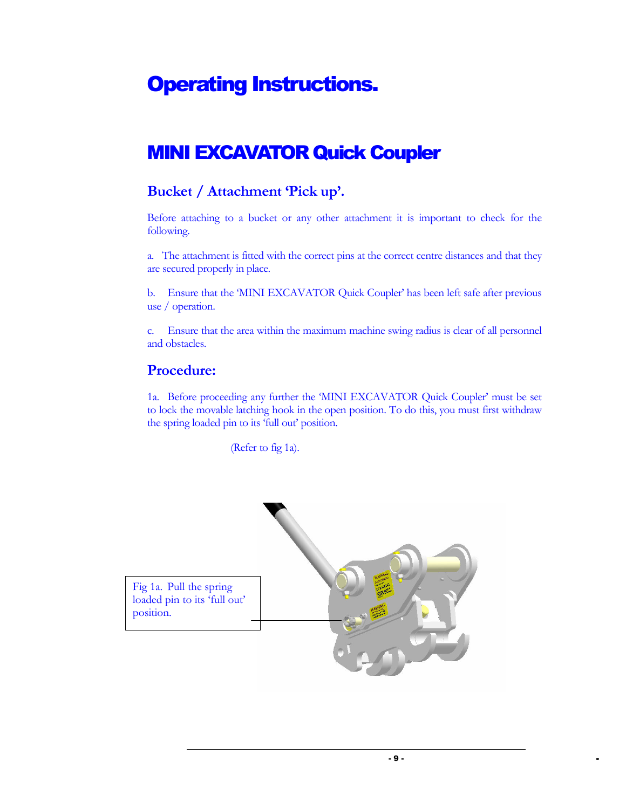## Operating Instructions.

### MINI EXCAVATOR Quick Coupler

#### Bucket / Attachment 'Pick up'.

Before attaching to a bucket or any other attachment it is important to check for the following.

a. The attachment is fitted with the correct pins at the correct centre distances and that they are secured properly in place.

b. Ensure that the 'MINI EXCAVATOR Quick Coupler' has been left safe after previous use / operation.

c. Ensure that the area within the maximum machine swing radius is clear of all personnel and obstacles.

#### Procedure:

1a. Before proceeding any further the 'MINI EXCAVATOR Quick Coupler' must be set to lock the movable latching hook in the open position. To do this, you must first withdraw the spring loaded pin to its 'full out' position.

(Refer to fig 1a).

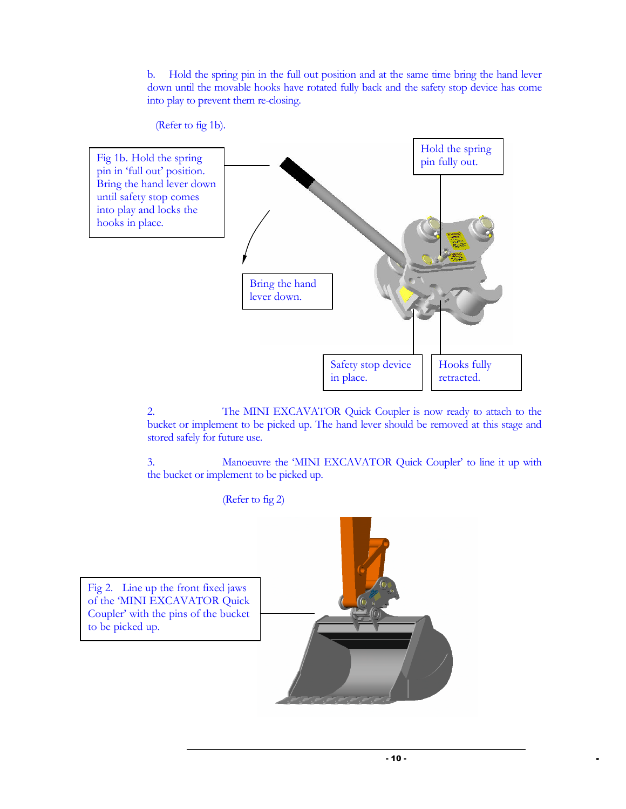b. Hold the spring pin in the full out position and at the same time bring the hand lever down until the movable hooks have rotated fully back and the safety stop device has come into play to prevent them re-closing.



2. The MINI EXCAVATOR Quick Coupler is now ready to attach to the bucket or implement to be picked up. The hand lever should be removed at this stage and stored safely for future use.

3. Manoeuvre the 'MINI EXCAVATOR Quick Coupler' to line it up with the bucket or implement to be picked up.

(Refer to fig 2)

Fig 2. Line up the front fixed jaws of the 'MINI EXCAVATOR Quick Coupler' with the pins of the bucket to be picked up.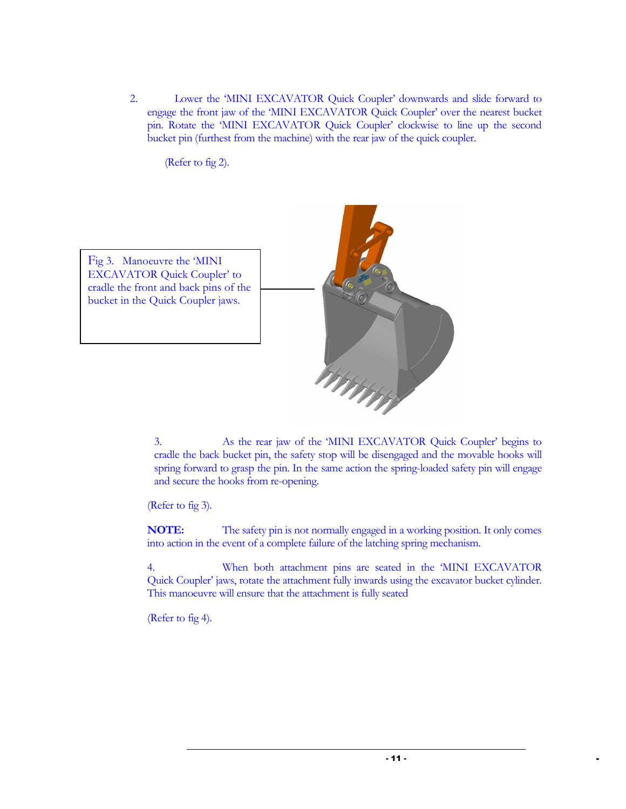2. Lower the 'MINI EXCAVATOR Quick Coupler' downwards and slide forward to engage the front jaw of the 'MINI EXCAVATOR Quick Coupler' over the nearest bucket pin. Rotate the 'MINI EXCAVATOR Quick Coupler' clockwise to line up the second bucket pin (furthest from the machine) with the rear jaw of the quick coupler.

(Refer to fig 2).



3. As the rear jaw of the 'MINI EXCAVATOR Quick Coupler' begins to cradle the back bucket pin, the safety stop will be disengaged and the movable hooks will spring forward to grasp the pin. In the same action the spring-loaded safety pin will engage and secure the hooks from re-opening.

(Refer to fig 3).

NOTE: The safety pin is not normally engaged in a working position. It only comes into action in the event of a complete failure of the latching spring mechanism.

4. When both attachment pins are seated in the 'MINI EXCAVATOR Quick Coupler' jaws, rotate the attachment fully inwards using the excavator bucket cylinder. This manoeuvre will ensure that the attachment is fully seated

(Refer to fig 4).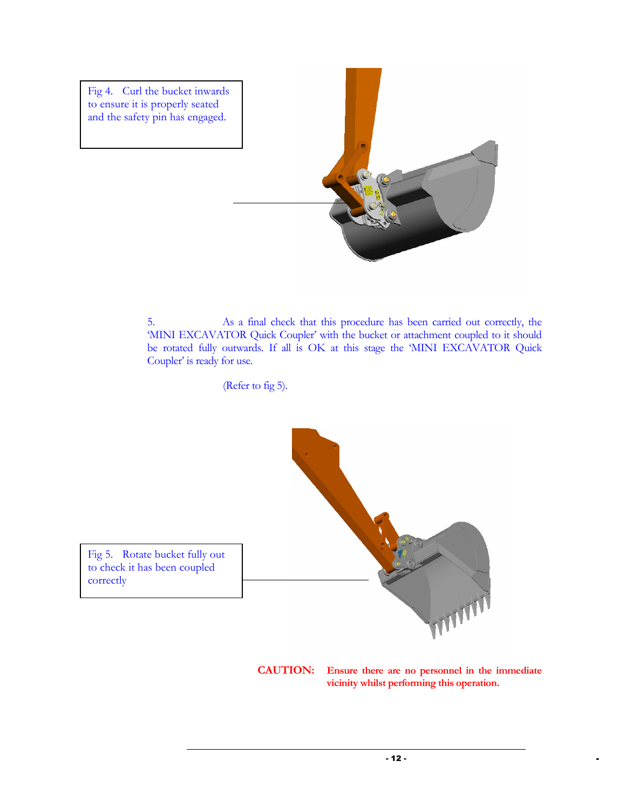

5. As a final check that this procedure has been carried out correctly, the 'MINI EXCAVATOR Quick Coupler' with the bucket or attachment coupled to it should be rotated fully outwards. If all is OK at this stage the 'MINI EXCAVATOR Quick Coupler' is ready for use.

(Refer to fig 5).



CAUTION: Ensure there are no personnel in the immediate vicinity whilst performing this operation.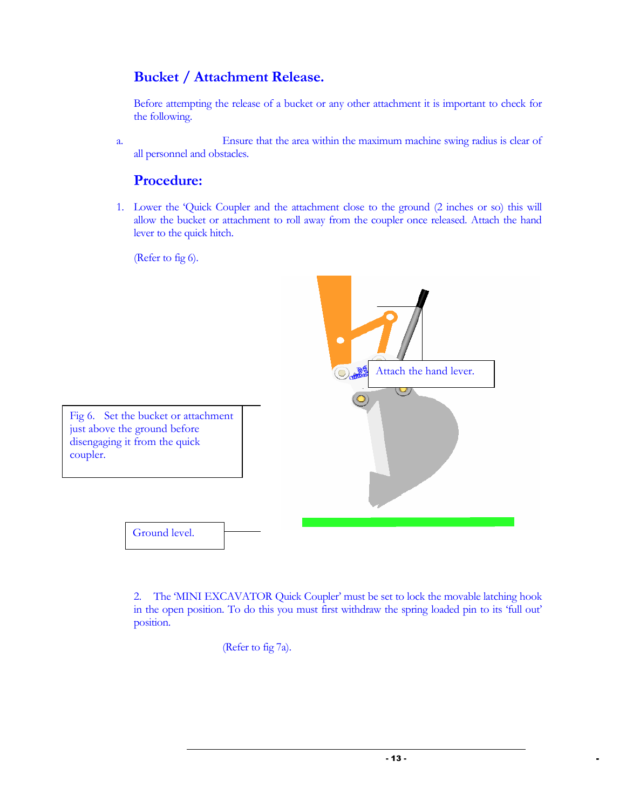#### Bucket / Attachment Release.

Before attempting the release of a bucket or any other attachment it is important to check for the following.

a. Ensure that the area within the maximum machine swing radius is clear of all personnel and obstacles.

#### Procedure:

1. Lower the 'Quick Coupler and the attachment close to the ground (2 inches or so) this will allow the bucket or attachment to roll away from the coupler once released. Attach the hand lever to the quick hitch.

(Refer to fig 6).



Fig 6. Set the bucket or attachment just above the ground before disengaging it from the quick coupler.

Ground level.

2. The 'MINI EXCAVATOR Quick Coupler' must be set to lock the movable latching hook in the open position. To do this you must first withdraw the spring loaded pin to its 'full out' position.

(Refer to fig 7a).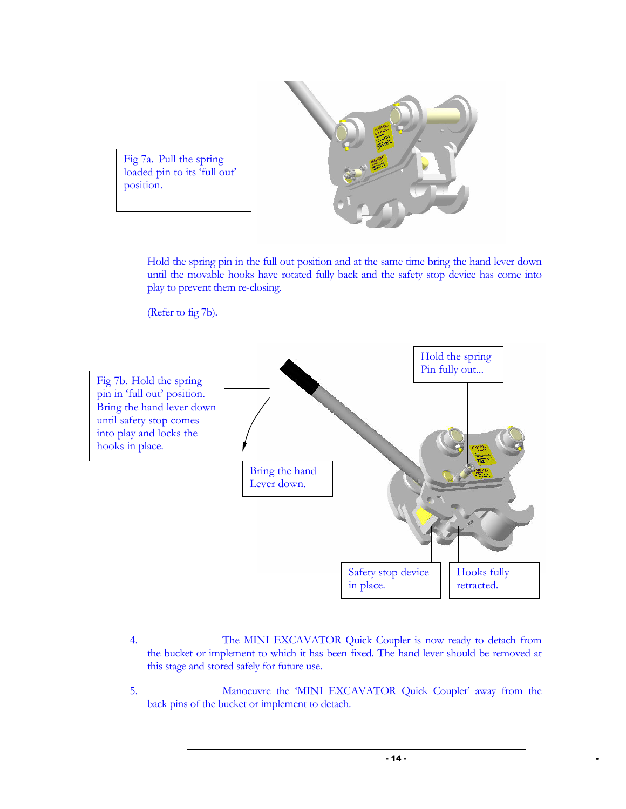

Hold the spring pin in the full out position and at the same time bring the hand lever down until the movable hooks have rotated fully back and the safety stop device has come into play to prevent them re-closing.

(Refer to fig 7b).



- 4. The MINI EXCAVATOR Quick Coupler is now ready to detach from the bucket or implement to which it has been fixed. The hand lever should be removed at this stage and stored safely for future use.
- 5. Manoeuvre the 'MINI EXCAVATOR Quick Coupler' away from the back pins of the bucket or implement to detach.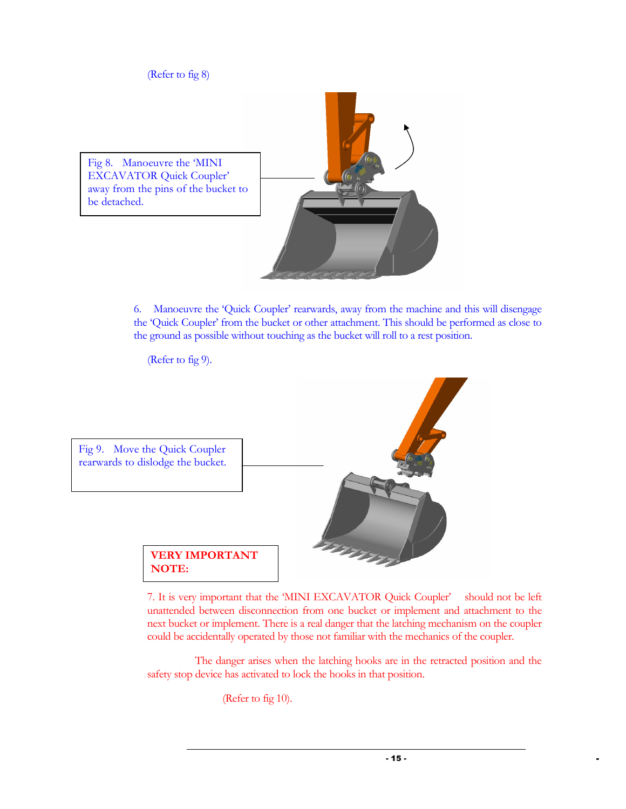(Refer to fig 8)

Fig 8. Manoeuvre the 'MINI EXCAVATOR Quick Coupler' away from the pins of the bucket to be detached.

> 6. Manoeuvre the 'Quick Coupler' rearwards, away from the machine and this will disengage the 'Quick Coupler' from the bucket or other attachment. This should be performed as close to the ground as possible without touching as the bucket will roll to a rest position.

(Refer to fig 9).



7. It is very important that the 'MINI EXCAVATOR Quick Coupler' should not be left unattended between disconnection from one bucket or implement and attachment to the next bucket or implement. There is a real danger that the latching mechanism on the coupler could be accidentally operated by those not familiar with the mechanics of the coupler.

 The danger arises when the latching hooks are in the retracted position and the safety stop device has activated to lock the hooks in that position.

(Refer to fig 10).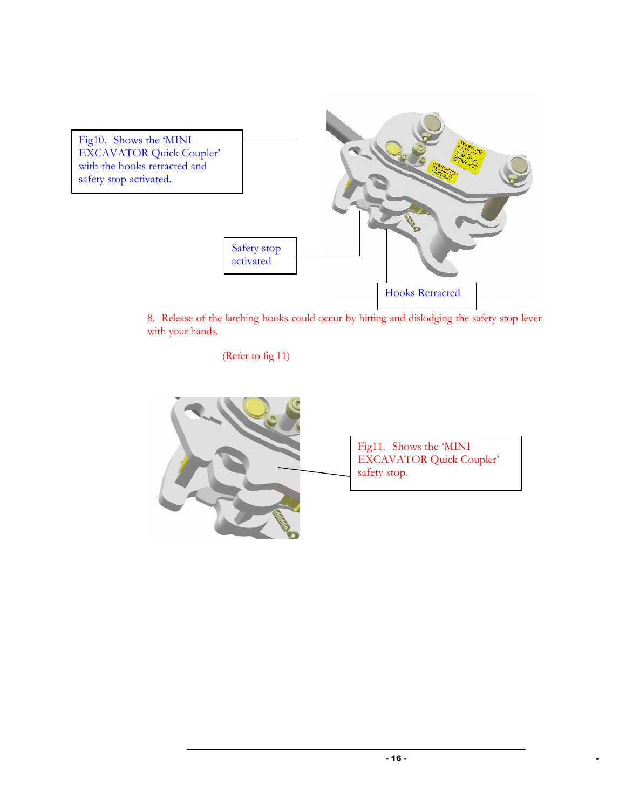

8. Release of the latching hooks could occur by hitting and dislodging the safety stop lever with your hands.

(Refer to fig 11)

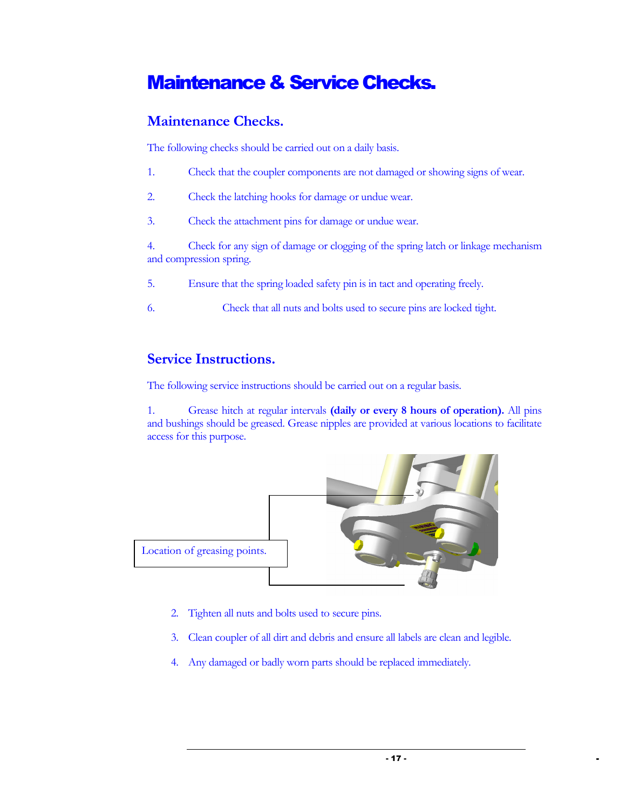### Maintenance & Service Checks.

#### Maintenance Checks.

The following checks should be carried out on a daily basis.

- 1. Check that the coupler components are not damaged or showing signs of wear.
- 2. Check the latching hooks for damage or undue wear.
- 3. Check the attachment pins for damage or undue wear.

4. Check for any sign of damage or clogging of the spring latch or linkage mechanism and compression spring.

- 5. Ensure that the spring loaded safety pin is in tact and operating freely.
- 6. Check that all nuts and bolts used to secure pins are locked tight.

#### Service Instructions.

The following service instructions should be carried out on a regular basis.

1. Grease hitch at regular intervals (daily or every 8 hours of operation). All pins and bushings should be greased. Grease nipples are provided at various locations to facilitate access for this purpose.



- 2. Tighten all nuts and bolts used to secure pins.
- 3. Clean coupler of all dirt and debris and ensure all labels are clean and legible.
- 4. Any damaged or badly worn parts should be replaced immediately.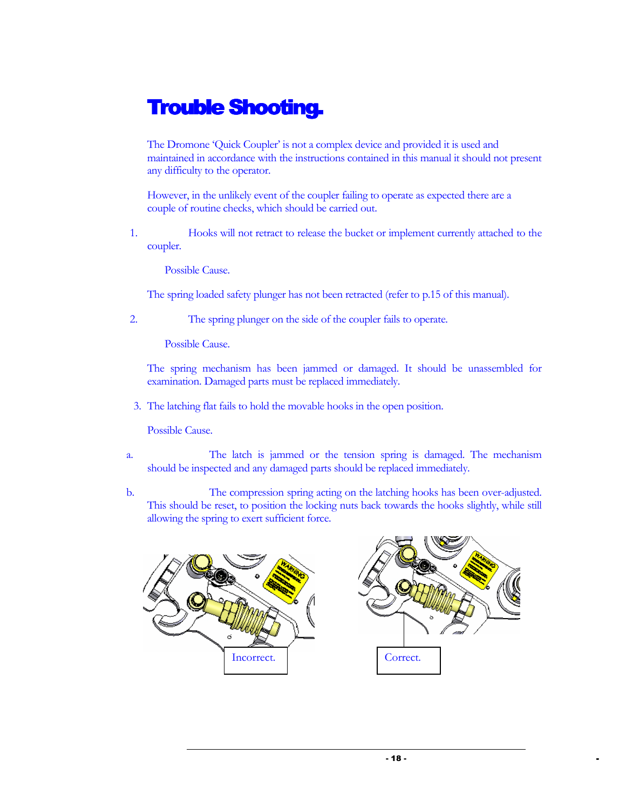### **Trouble Shooting.**

The Dromone 'Quick Coupler' is not a complex device and provided it is used and maintained in accordance with the instructions contained in this manual it should not present any difficulty to the operator.

However, in the unlikely event of the coupler failing to operate as expected there are a couple of routine checks, which should be carried out.

1. Hooks will not retract to release the bucket or implement currently attached to the coupler.

Possible Cause.

The spring loaded safety plunger has not been retracted (refer to p.15 of this manual).

2. The spring plunger on the side of the coupler fails to operate.

Possible Cause.

The spring mechanism has been jammed or damaged. It should be unassembled for examination. Damaged parts must be replaced immediately.

3. The latching flat fails to hold the movable hooks in the open position.

Possible Cause.

- a. The latch is jammed or the tension spring is damaged. The mechanism should be inspected and any damaged parts should be replaced immediately.
- b. The compression spring acting on the latching hooks has been over-adjusted. This should be reset, to position the locking nuts back towards the hooks slightly, while still allowing the spring to exert sufficient force.

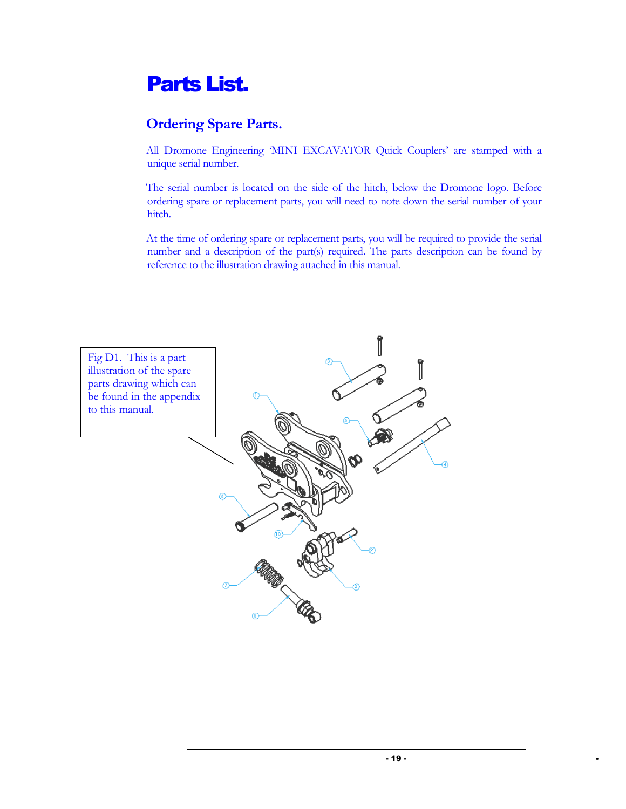### Parts List.

### Ordering Spare Parts.

All Dromone Engineering 'MINI EXCAVATOR Quick Couplers' are stamped with a unique serial number.

The serial number is located on the side of the hitch, below the Dromone logo. Before ordering spare or replacement parts, you will need to note down the serial number of your hitch.

At the time of ordering spare or replacement parts, you will be required to provide the serial number and a description of the part(s) required. The parts description can be found by reference to the illustration drawing attached in this manual.

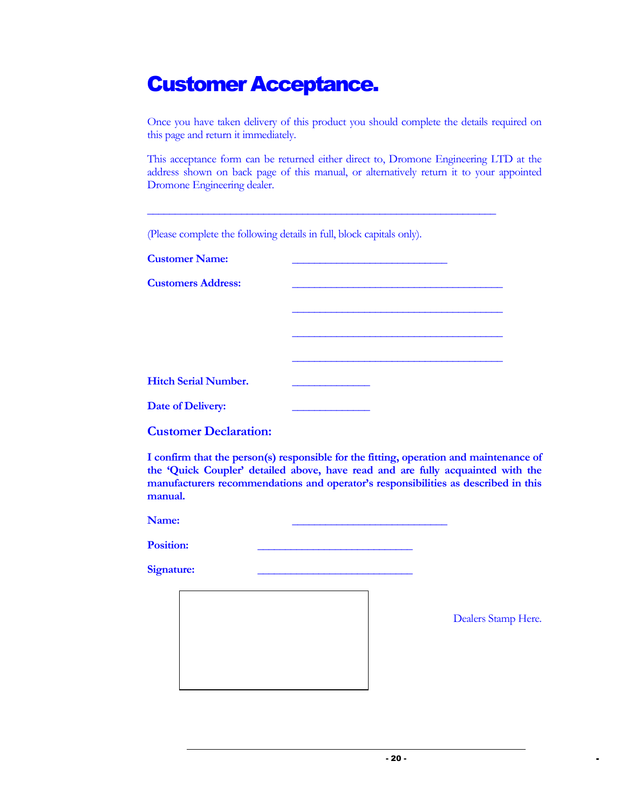### Customer Acceptance.

Once you have taken delivery of this product you should complete the details required on this page and return it immediately.

This acceptance form can be returned either direct to, Dromone Engineering LTD at the address shown on back page of this manual, or alternatively return it to your appointed Dromone Engineering dealer.

\_\_\_\_\_\_\_\_\_\_\_\_\_\_\_\_\_\_\_\_\_\_\_\_\_\_\_\_\_\_\_\_\_\_\_\_\_\_\_\_\_\_\_\_\_\_\_\_\_\_\_\_\_\_\_\_\_\_\_\_\_\_\_

 $\mathcal{L}_\mathcal{L}$  , which is a set of the set of the set of the set of the set of the set of the set of the set of the set of the set of the set of the set of the set of the set of the set of the set of the set of the set of

(Please complete the following details in full, block capitals only).

Customer Name:

Customers Address:

| <b>Hitch Serial Number.</b> |  |  |
|-----------------------------|--|--|
| <b>Date of Delivery:</b>    |  |  |

| <b>Customer Declaration:</b> |  |
|------------------------------|--|
|                              |  |

I confirm that the person(s) responsible for the fitting, operation and maintenance of the 'Quick Coupler' detailed above, have read and are fully acquainted with the manufacturers recommendations and operator's responsibilities as described in this manual.

Name: 2008. 2008. 2008. 2008. 2008. 2008. 2008. 2008. 2008. 2008. 2008. 2008. 2008. 2008. 2008. 2008. 2008. 20

Position:

Signature:

Dealers Stamp Here.